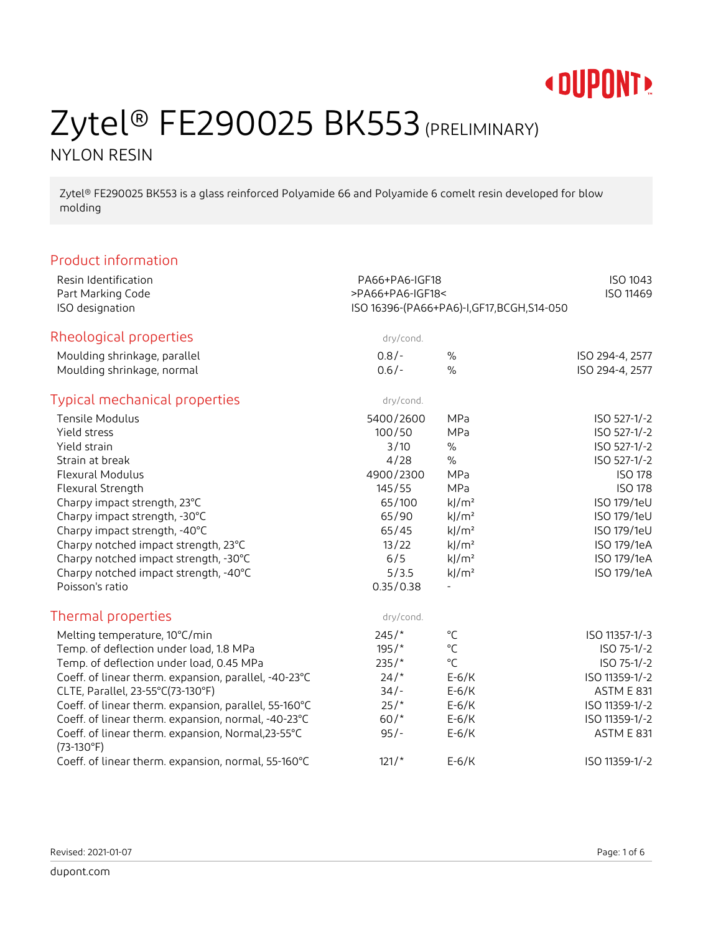

## Zytel® FE290025 BK553 (PRELIMINARY) NYLON RESIN

Zytel® FE290025 BK553 is a glass reinforced Polyamide 66 and Polyamide 6 comelt resin developed for blow molding

### Product information

| Resin Identification                                  | PA66+PA6-IGF18                           |                     | ISO 1043          |  |
|-------------------------------------------------------|------------------------------------------|---------------------|-------------------|--|
| Part Marking Code                                     | >PA66+PA6-IGF18<                         | ISO 11469           |                   |  |
| ISO designation                                       | ISO 16396-(PA66+PA6)-I,GF17,BCGH,S14-050 |                     |                   |  |
| Rheological properties                                | dry/cond.                                |                     |                   |  |
| Moulding shrinkage, parallel                          | $0.8/-$                                  | $\%$                | ISO 294-4, 2577   |  |
| Moulding shrinkage, normal                            | $0.6/-$                                  | $\%$                | ISO 294-4, 2577   |  |
| <b>Typical mechanical properties</b>                  | dry/cond.                                |                     |                   |  |
| <b>Tensile Modulus</b>                                | 5400/2600                                | MPa                 | ISO 527-1/-2      |  |
| Yield stress                                          | 100/50                                   | MPa                 | ISO 527-1/-2      |  |
| Yield strain                                          | 3/10                                     | $\%$                | ISO 527-1/-2      |  |
| Strain at break                                       | 4/28                                     | $\%$                | ISO 527-1/-2      |  |
| Flexural Modulus                                      | 4900/2300                                | MPa                 | <b>ISO 178</b>    |  |
| Flexural Strength                                     | 145/55                                   | MPa                 | <b>ISO 178</b>    |  |
| Charpy impact strength, 23°C                          | 65/100                                   | $k$ /m <sup>2</sup> | ISO 179/1eU       |  |
| Charpy impact strength, -30°C                         | 65/90                                    | $k$ /m <sup>2</sup> | ISO 179/1eU       |  |
| Charpy impact strength, -40°C                         | 65/45                                    | $k$ /m <sup>2</sup> | ISO 179/1eU       |  |
| Charpy notched impact strength, 23°C                  | 13/22                                    | $k$ /m <sup>2</sup> | ISO 179/1eA       |  |
| Charpy notched impact strength, -30°C                 | 6/5                                      | $k$ /m <sup>2</sup> | ISO 179/1eA       |  |
| Charpy notched impact strength, -40°C                 | 5/3.5                                    | $k$ /m <sup>2</sup> | ISO 179/1eA       |  |
| Poisson's ratio                                       | 0.35/0.38                                | $\blacksquare$      |                   |  |
| Thermal properties                                    | dry/cond.                                |                     |                   |  |
| Melting temperature, 10°C/min                         | $245/*$                                  | $^{\circ}C$         | ISO 11357-1/-3    |  |
| Temp. of deflection under load, 1.8 MPa               | $195/$ *                                 | $^{\circ}$ C        | ISO 75-1/-2       |  |
| Temp. of deflection under load, 0.45 MPa              | $235/$ *                                 | $^{\circ}$ C        | ISO 75-1/-2       |  |
| Coeff. of linear therm. expansion, parallel, -40-23°C | 24/                                      | $E-6/K$             | ISO 11359-1/-2    |  |
| CLTE, Parallel, 23-55°C(73-130°F)                     | $34/-$                                   | $E-6/K$             | ASTM E 831        |  |
| Coeff. of linear therm. expansion, parallel, 55-160°C | 25/                                      | $E-6/K$             | ISO 11359-1/-2    |  |
| Coeff. of linear therm. expansion, normal, -40-23°C   | $60/*$                                   | $E-6/K$             | ISO 11359-1/-2    |  |
| Coeff. of linear therm. expansion, Normal,23-55°C     | $95/-$                                   | $E-6/K$             | <b>ASTM E 831</b> |  |
| $(73-130°F)$                                          |                                          |                     |                   |  |
| Coeff. of linear therm. expansion, normal, 55-160°C   | $121/*$                                  | $E-6/K$             | ISO 11359-1/-2    |  |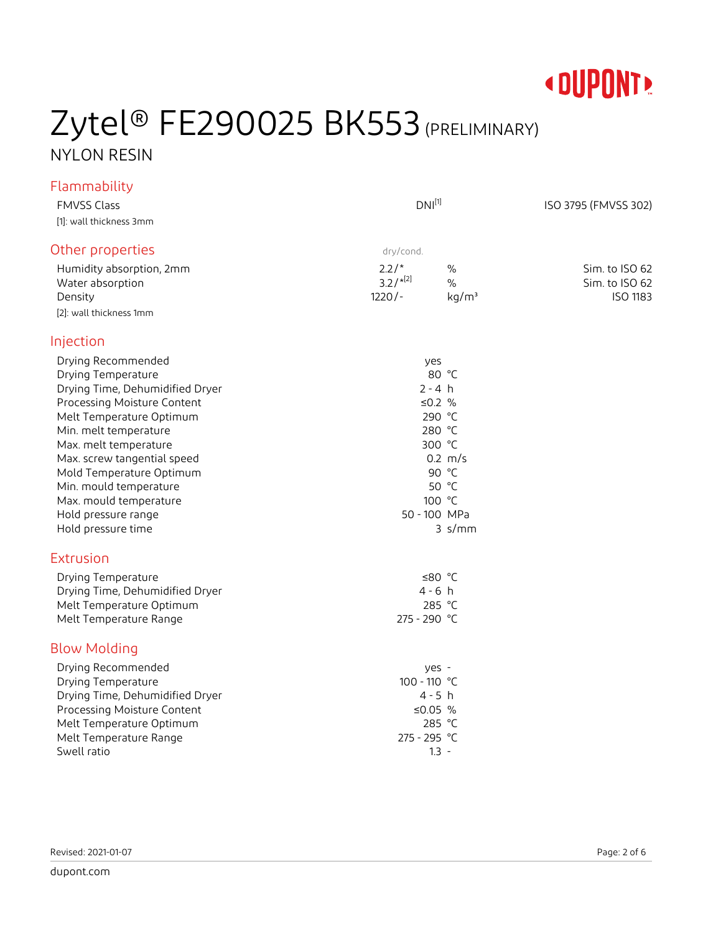

## Zytel<sup>®</sup> FE290025 BK553 (PRELIMINARY) NYLON RESIN

### Flammability

| <b>FMVSS Class</b>                                                                                                                                                                                                                                                                                                                                   | $DNI^{[1]}$                                                                                                                                    | ISO 3795 (FMVSS 302)                                |
|------------------------------------------------------------------------------------------------------------------------------------------------------------------------------------------------------------------------------------------------------------------------------------------------------------------------------------------------------|------------------------------------------------------------------------------------------------------------------------------------------------|-----------------------------------------------------|
| [1]: wall thickness 3mm                                                                                                                                                                                                                                                                                                                              |                                                                                                                                                |                                                     |
| Other properties                                                                                                                                                                                                                                                                                                                                     | dry/cond.                                                                                                                                      |                                                     |
| Humidity absorption, 2mm<br>Water absorption<br>Density<br>[2]: wall thickness 1mm                                                                                                                                                                                                                                                                   | $2.2/*$<br>$\%$<br>$3.2/$ <sup>*[2]</sup><br>$\%$<br>$1220/-$<br>kg/m <sup>3</sup>                                                             | Sim. to ISO 62<br>Sim. to ISO 62<br><b>ISO 1183</b> |
| Injection                                                                                                                                                                                                                                                                                                                                            |                                                                                                                                                |                                                     |
| Drying Recommended<br>Drying Temperature<br>Drying Time, Dehumidified Dryer<br>Processing Moisture Content<br>Melt Temperature Optimum<br>Min. melt temperature<br>Max. melt temperature<br>Max. screw tangential speed<br>Mold Temperature Optimum<br>Min. mould temperature<br>Max. mould temperature<br>Hold pressure range<br>Hold pressure time | yes<br>80 °C<br>$2 - 4 h$<br>≤0.2 $%$<br>290 °C<br>280 °C<br>300 °C<br>$0.2 \, m/s$<br>90 °C<br>50 °C<br>100 °C<br>50 - 100 MPa<br>$3 \,$ s/mm |                                                     |
| Extrusion                                                                                                                                                                                                                                                                                                                                            |                                                                                                                                                |                                                     |
| Drying Temperature<br>Drying Time, Dehumidified Dryer<br>Melt Temperature Optimum<br>Melt Temperature Range                                                                                                                                                                                                                                          | ≤80 $°C$<br>$4 - 6 h$<br>285 °C<br>275 - 290 °C                                                                                                |                                                     |
| <b>Blow Molding</b>                                                                                                                                                                                                                                                                                                                                  |                                                                                                                                                |                                                     |
| Drying Recommended<br>Drying Temperature<br>Drying Time, Dehumidified Dryer<br>Processing Moisture Content<br>Melt Temperature Optimum<br>Melt Temperature Range<br>Swell ratio                                                                                                                                                                      | yes -<br>100 - 110 °C<br>$4 - 5 h$<br>≤0.05 $%$<br>285 °C<br>275 - 295 °C<br>$1.3 -$                                                           |                                                     |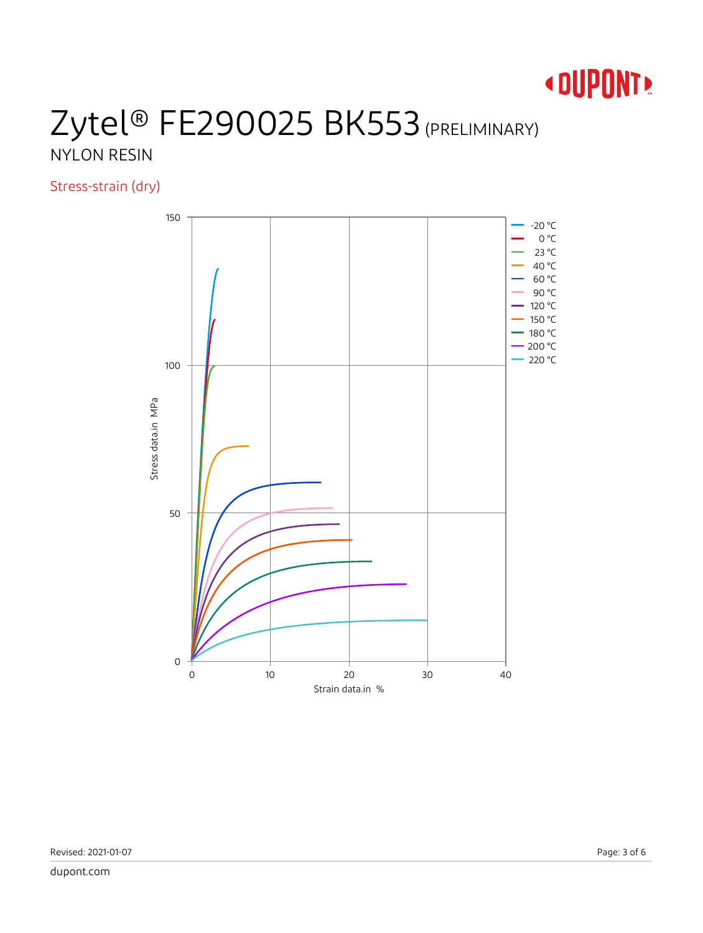

## Zytel® FE290025 BK553 (PRELIMINARY) NYLON RESIN

Stress-strain (dry)

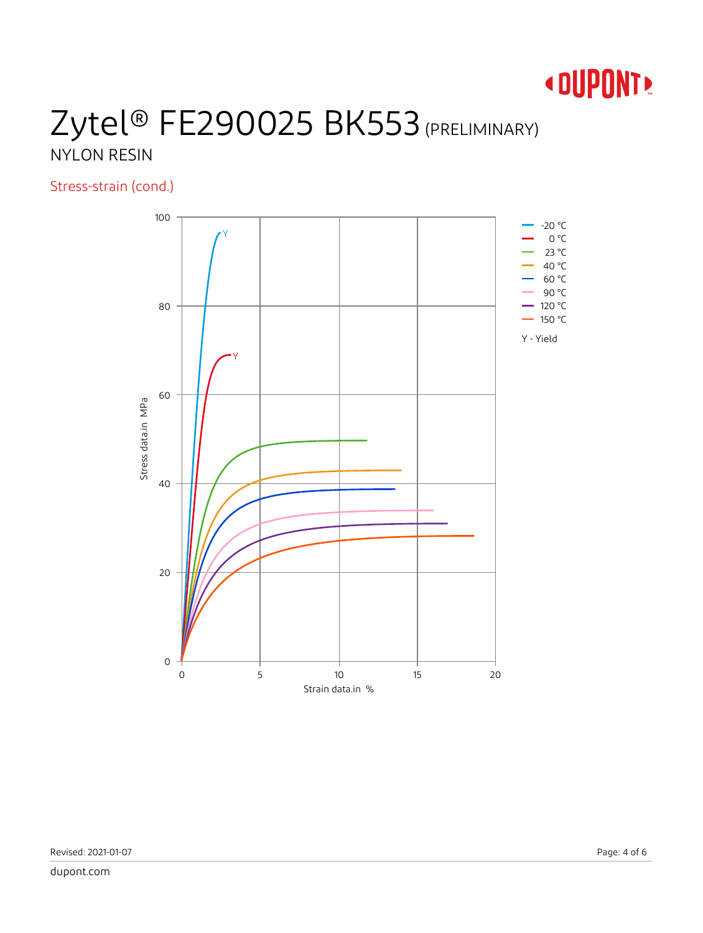

## Zytel® FE290025 BK553 (PRELIMINARY) NYLON RESIN

Stress-strain (cond.)

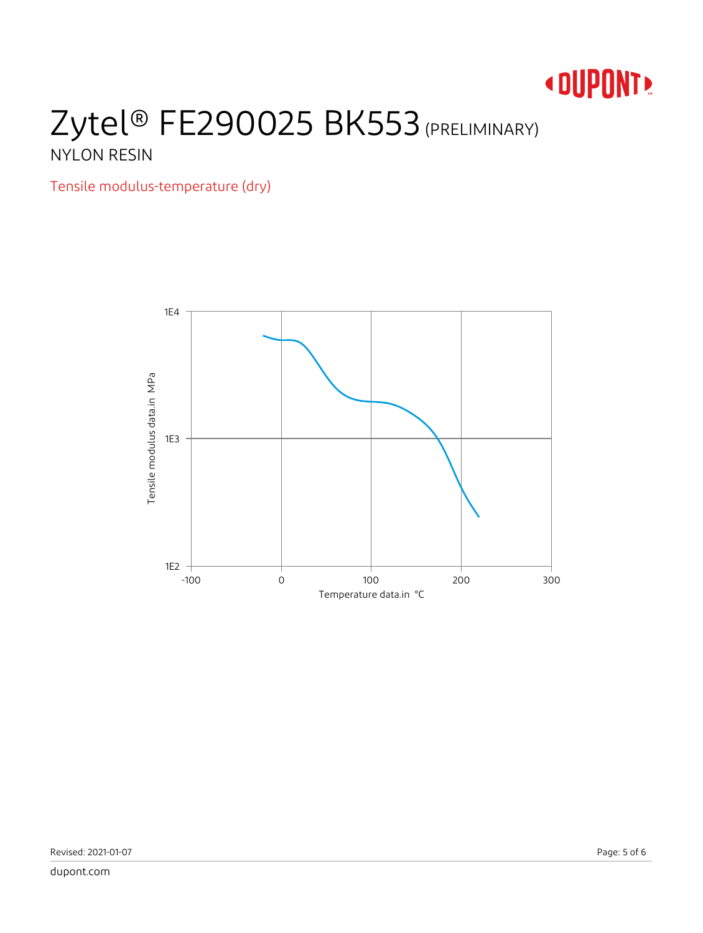# **« DUPONT!**

## Zytel® FE290025 BK553 (PRELIMINARY) NYLON RESIN

Tensile modulus-temperature (dry)